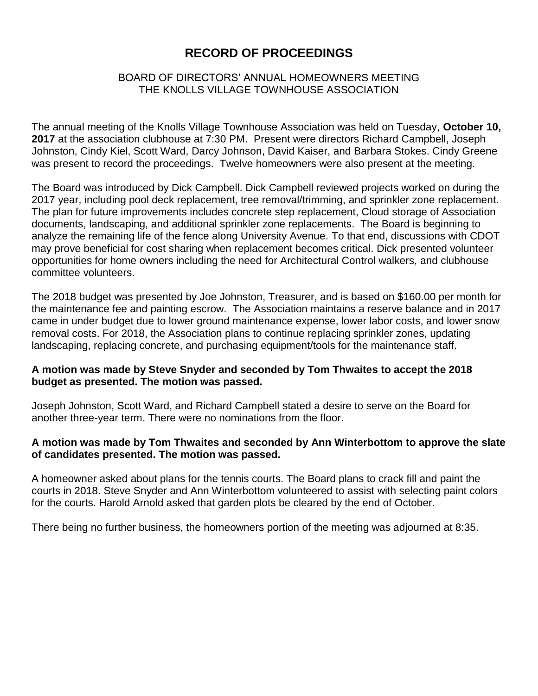# **RECORD OF PROCEEDINGS**

## BOARD OF DIRECTORS' ANNUAL HOMEOWNERS MEETING THE KNOLLS VILLAGE TOWNHOUSE ASSOCIATION

The annual meeting of the Knolls Village Townhouse Association was held on Tuesday, **October 10, 2017** at the association clubhouse at 7:30 PM. Present were directors Richard Campbell, Joseph Johnston, Cindy Kiel, Scott Ward, Darcy Johnson, David Kaiser, and Barbara Stokes. Cindy Greene was present to record the proceedings. Twelve homeowners were also present at the meeting.

The Board was introduced by Dick Campbell. Dick Campbell reviewed projects worked on during the 2017 year, including pool deck replacement, tree removal/trimming, and sprinkler zone replacement. The plan for future improvements includes concrete step replacement, Cloud storage of Association documents, landscaping, and additional sprinkler zone replacements. The Board is beginning to analyze the remaining life of the fence along University Avenue. To that end, discussions with CDOT may prove beneficial for cost sharing when replacement becomes critical. Dick presented volunteer opportunities for home owners including the need for Architectural Control walkers, and clubhouse committee volunteers.

The 2018 budget was presented by Joe Johnston, Treasurer, and is based on \$160.00 per month for the maintenance fee and painting escrow. The Association maintains a reserve balance and in 2017 came in under budget due to lower ground maintenance expense, lower labor costs, and lower snow removal costs. For 2018, the Association plans to continue replacing sprinkler zones, updating landscaping, replacing concrete, and purchasing equipment/tools for the maintenance staff.

## **A motion was made by Steve Snyder and seconded by Tom Thwaites to accept the 2018 budget as presented. The motion was passed.**

Joseph Johnston, Scott Ward, and Richard Campbell stated a desire to serve on the Board for another three-year term. There were no nominations from the floor.

## **A motion was made by Tom Thwaites and seconded by Ann Winterbottom to approve the slate of candidates presented. The motion was passed.**

A homeowner asked about plans for the tennis courts. The Board plans to crack fill and paint the courts in 2018. Steve Snyder and Ann Winterbottom volunteered to assist with selecting paint colors for the courts. Harold Arnold asked that garden plots be cleared by the end of October.

There being no further business, the homeowners portion of the meeting was adjourned at 8:35.